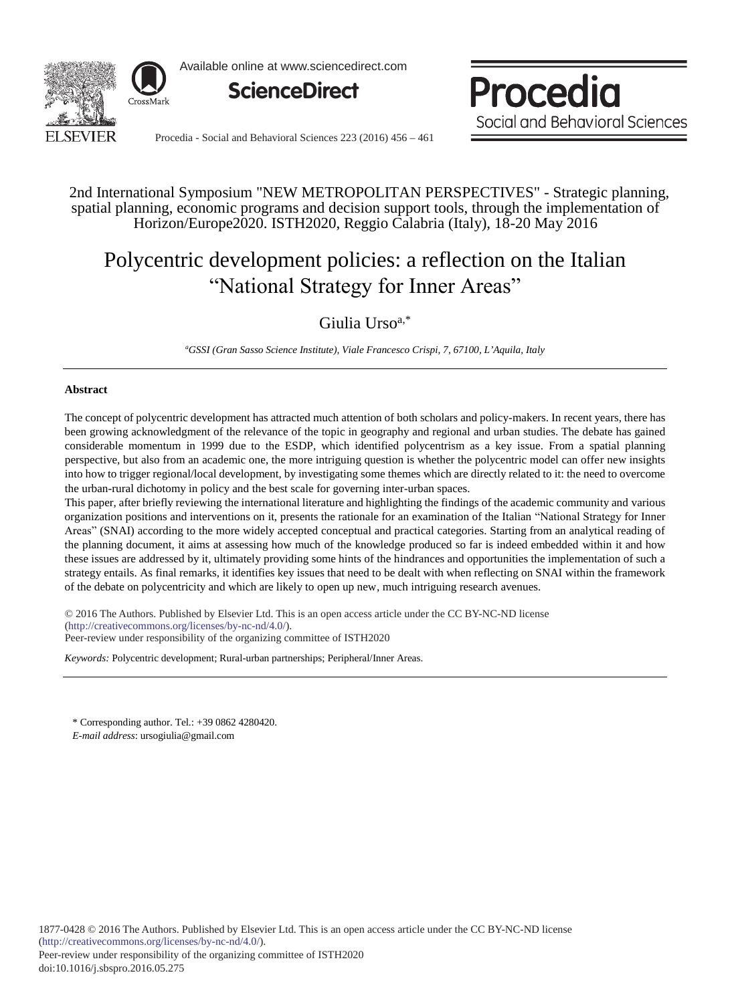

Available online at www.sciencedirect.com



Procedia Social and Behavioral Sciences

Procedia - Social and Behavioral Sciences 223 (2016) 456 - 461

2nd International Symposium "NEW METROPOLITAN PERSPECTIVES" - Strategic planning, spatial planning, economic programs and decision support tools, through the implementation of Horizon/Europe2020. ISTH2020, Reggio Calabria (Italy), 18-20 May 2016

# Polycentric development policies: a reflection on the Italian "National Strategy for Inner Areas"

Giulia Ursoa,\*

*a GSSI (Gran Sasso Science Institute), Viale Francesco Crispi, 7, 67100, L'Aquila, Italy*

#### **Abstract**

The concept of polycentric development has attracted much attention of both scholars and policy-makers. In recent years, there has been growing acknowledgment of the relevance of the topic in geography and regional and urban studies. The debate has gained considerable momentum in 1999 due to the ESDP, which identified polycentrism as a key issue. From a spatial planning perspective, but also from an academic one, the more intriguing question is whether the polycentric model can offer new insights into how to trigger regional/local development, by investigating some themes which are directly related to it: the need to overcome the urban-rural dichotomy in policy and the best scale for governing inter-urban spaces.

This paper, after briefly reviewing the international literature and highlighting the findings of the academic community and various organization positions and interventions on it, presents the rationale for an examination of the Italian "National Strategy for Inner Areas" (SNAI) according to the more widely accepted conceptual and practical categories. Starting from an analytical reading of the planning document, it aims at assessing how much of the knowledge produced so far is indeed embedded within it and how these issues are addressed by it, ultimately providing some hints of the hindrances and opportunities the implementation of such a strategy entails. As final remarks, it identifies key issues that need to be dealt with when reflecting on SNAI within the framework of the debate on polycentricity and which are likely to open up new, much intriguing research avenues.

© 2016 The Authors. Published by Elsevier Ltd. © 2016 The Authors. Published by Elsevier Ltd. This is an open access article under the CC BY-NC-ND license Peer-review under responsibility of the organizing committee of ISTH2020. Peer-review under responsibility of the organizing committee of ISTH2020(http://creativecommons.org/licenses/by-nc-nd/4.0/).

*Keywords:* Polycentric development; Rural-urban partnerships; Peripheral/Inner Areas.

\* Corresponding author. Tel.: +39 0862 4280420. *E-mail address*: ursogiulia@gmail.com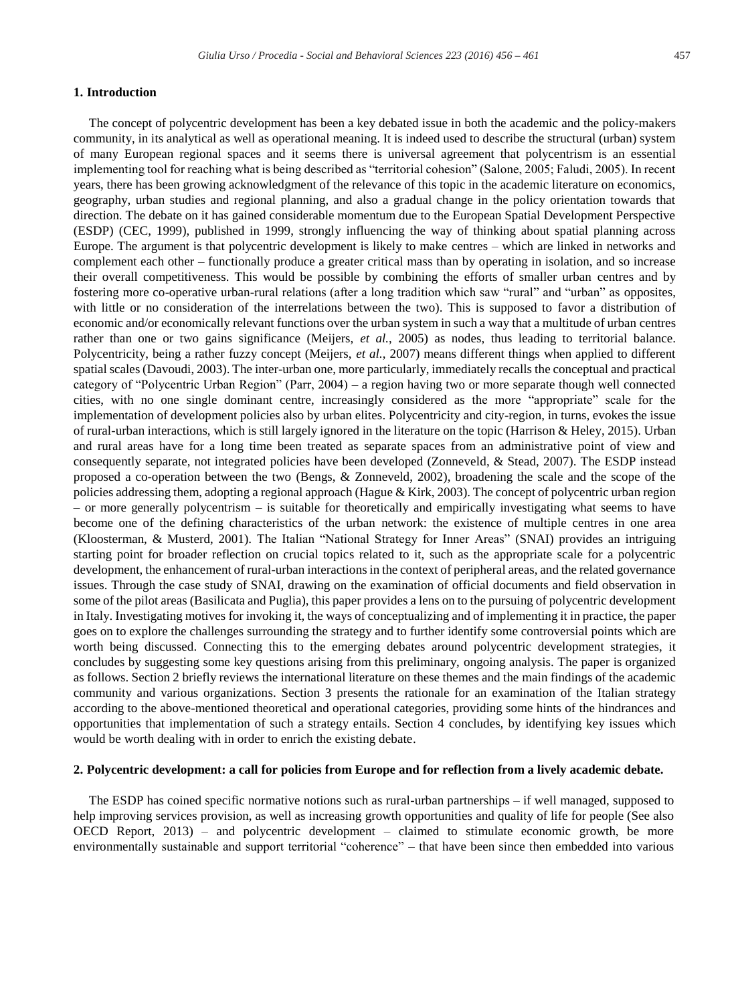## **1. Introduction**

The concept of polycentric development has been a key debated issue in both the academic and the policy-makers community, in its analytical as well as operational meaning. It is indeed used to describe the structural (urban) system of many European regional spaces and it seems there is universal agreement that polycentrism is an essential implementing tool for reaching what is being described as "territorial cohesion" (Salone, 2005; Faludi, 2005). In recent years, there has been growing acknowledgment of the relevance of this topic in the academic literature on economics, geography, urban studies and regional planning, and also a gradual change in the policy orientation towards that direction. The debate on it has gained considerable momentum due to the European Spatial Development Perspective (ESDP) (CEC, 1999), published in 1999, strongly influencing the way of thinking about spatial planning across Europe. The argument is that polycentric development is likely to make centres – which are linked in networks and complement each other – functionally produce a greater critical mass than by operating in isolation, and so increase their overall competitiveness. This would be possible by combining the efforts of smaller urban centres and by fostering more co-operative urban-rural relations (after a long tradition which saw "rural" and "urban" as opposites, with little or no consideration of the interrelations between the two). This is supposed to favor a distribution of economic and/or economically relevant functions over the urban system in such a way that a multitude of urban centres rather than one or two gains significance (Meijers, *et al.*, 2005) as nodes, thus leading to territorial balance. Polycentricity, being a rather fuzzy concept (Meijers, *et al.*, 2007) means different things when applied to different spatial scales (Davoudi, 2003). The inter-urban one, more particularly, immediately recalls the conceptual and practical category of "Polycentric Urban Region" (Parr, 2004) – a region having two or more separate though well connected cities, with no one single dominant centre, increasingly considered as the more "appropriate" scale for the implementation of development policies also by urban elites. Polycentricity and city-region, in turns, evokes the issue of rural-urban interactions, which is still largely ignored in the literature on the topic (Harrison & Heley, 2015). Urban and rural areas have for a long time been treated as separate spaces from an administrative point of view and consequently separate, not integrated policies have been developed (Zonneveld, & Stead, 2007). The ESDP instead proposed a co-operation between the two (Bengs, & Zonneveld, 2002), broadening the scale and the scope of the policies addressing them, adopting a regional approach (Hague & Kirk, 2003). The concept of polycentric urban region – or more generally polycentrism – is suitable for theoretically and empirically investigating what seems to have become one of the defining characteristics of the urban network: the existence of multiple centres in one area (Kloosterman, & Musterd, 2001). The Italian "National Strategy for Inner Areas" (SNAI) provides an intriguing starting point for broader reflection on crucial topics related to it, such as the appropriate scale for a polycentric development, the enhancement of rural-urban interactions in the context of peripheral areas, and the related governance issues. Through the case study of SNAI, drawing on the examination of official documents and field observation in some of the pilot areas (Basilicata and Puglia), this paper provides a lens on to the pursuing of polycentric development in Italy. Investigating motives for invoking it, the ways of conceptualizing and of implementing it in practice, the paper goes on to explore the challenges surrounding the strategy and to further identify some controversial points which are worth being discussed. Connecting this to the emerging debates around polycentric development strategies, it concludes by suggesting some key questions arising from this preliminary, ongoing analysis. The paper is organized as follows. Section 2 briefly reviews the international literature on these themes and the main findings of the academic community and various organizations. Section 3 presents the rationale for an examination of the Italian strategy according to the above-mentioned theoretical and operational categories, providing some hints of the hindrances and opportunities that implementation of such a strategy entails. Section 4 concludes, by identifying key issues which would be worth dealing with in order to enrich the existing debate.

## **2. Polycentric development: a call for policies from Europe and for reflection from a lively academic debate.**

The ESDP has coined specific normative notions such as rural-urban partnerships – if well managed, supposed to help improving services provision, as well as increasing growth opportunities and quality of life for people (See also OECD Report, 2013) – and polycentric development – claimed to stimulate economic growth, be more environmentally sustainable and support territorial "coherence" – that have been since then embedded into various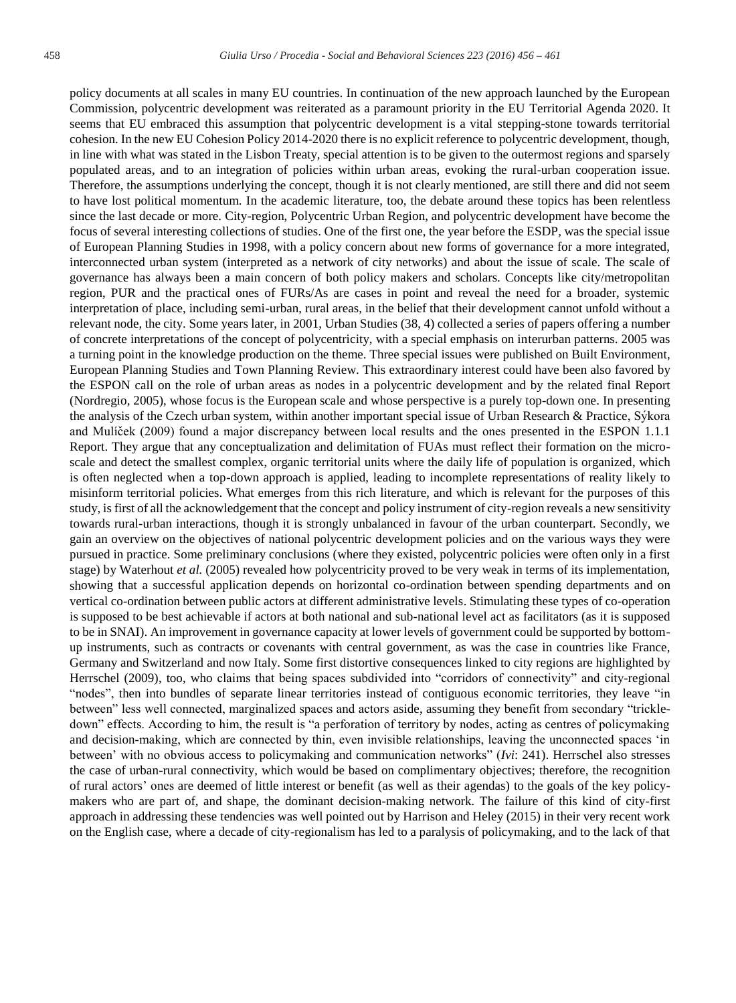policy documents at all scales in many EU countries. In continuation of the new approach launched by the European Commission, polycentric development was reiterated as a paramount priority in the EU Territorial Agenda 2020. It seems that EU embraced this assumption that polycentric development is a vital stepping-stone towards territorial cohesion. In the new EU Cohesion Policy 2014-2020 there is no explicit reference to polycentric development, though, in line with what was stated in the Lisbon Treaty, special attention is to be given to the outermost regions and sparsely populated areas, and to an integration of policies within urban areas, evoking the rural-urban cooperation issue. Therefore, the assumptions underlying the concept, though it is not clearly mentioned, are still there and did not seem to have lost political momentum. In the academic literature, too, the debate around these topics has been relentless since the last decade or more. City-region, Polycentric Urban Region, and polycentric development have become the focus of several interesting collections of studies. One of the first one, the year before the ESDP, was the special issue of European Planning Studies in 1998, with a policy concern about new forms of governance for a more integrated, interconnected urban system (interpreted as a network of city networks) and about the issue of scale. The scale of governance has always been a main concern of both policy makers and scholars. Concepts like city/metropolitan region, PUR and the practical ones of FURs/As are cases in point and reveal the need for a broader, systemic interpretation of place, including semi-urban, rural areas, in the belief that their development cannot unfold without a relevant node, the city. Some years later, in 2001, Urban Studies (38, 4) collected a series of papers offering a number of concrete interpretations of the concept of polycentricity, with a special emphasis on interurban patterns. 2005 was a turning point in the knowledge production on the theme. Three special issues were published on Built Environment, European Planning Studies and Town Planning Review. This extraordinary interest could have been also favored by the ESPON call on the role of urban areas as nodes in a polycentric development and by the related final Report (Nordregio, 2005), whose focus is the European scale and whose perspective is a purely top-down one. In presenting the analysis of the Czech urban system, within another important special issue of Urban Research & Practice, Sý kora and Mulíček (2009) found a major discrepancy between local results and the ones presented in the ESPON 1.1.1 Report. They argue that any conceptualization and delimitation of FUAs must reflect their formation on the microscale and detect the smallest complex, organic territorial units where the daily life of population is organized, which is often neglected when a top-down approach is applied, leading to incomplete representations of reality likely to misinform territorial policies. What emerges from this rich literature, and which is relevant for the purposes of this study, is first of all the acknowledgement that the concept and policy instrument of city-region reveals a new sensitivity towards rural-urban interactions, though it is strongly unbalanced in favour of the urban counterpart. Secondly, we gain an overview on the objectives of national polycentric development policies and on the various ways they were pursued in practice. Some preliminary conclusions (where they existed, polycentric policies were often only in a first stage) by Waterhout *et al.* (2005) revealed how polycentricity proved to be very weak in terms of its implementation, showing that a successful application depends on horizontal co-ordination between spending departments and on vertical co-ordination between public actors at different administrative levels. Stimulating these types of co-operation is supposed to be best achievable if actors at both national and sub-national level act as facilitators (as it is supposed to be in SNAI). An improvement in governance capacity at lower levels of government could be supported by bottomup instruments, such as contracts or covenants with central government, as was the case in countries like France, Germany and Switzerland and now Italy. Some first distortive consequences linked to city regions are highlighted by Herrschel (2009), too, who claims that being spaces subdivided into "corridors of connectivity" and city-regional "nodes", then into bundles of separate linear territories instead of contiguous economic territories, they leave "in between" less well connected, marginalized spaces and actors aside, assuming they benefit from secondary "trickledown" effects. According to him, the result is "a perforation of territory by nodes, acting as centres of policymaking and decision-making, which are connected by thin, even invisible relationships, leaving the unconnected spaces 'in between' with no obvious access to policymaking and communication networks" (*Ivi*: 241). Herrschel also stresses the case of urban-rural connectivity, which would be based on complimentary objectives; therefore, the recognition of rural actors' ones are deemed of little interest or benefit (as well as their agendas) to the goals of the key policymakers who are part of, and shape, the dominant decision-making network. The failure of this kind of city-first approach in addressing these tendencies was well pointed out by Harrison and Heley (2015) in their very recent work on the English case, where a decade of city-regionalism has led to a paralysis of policymaking, and to the lack of that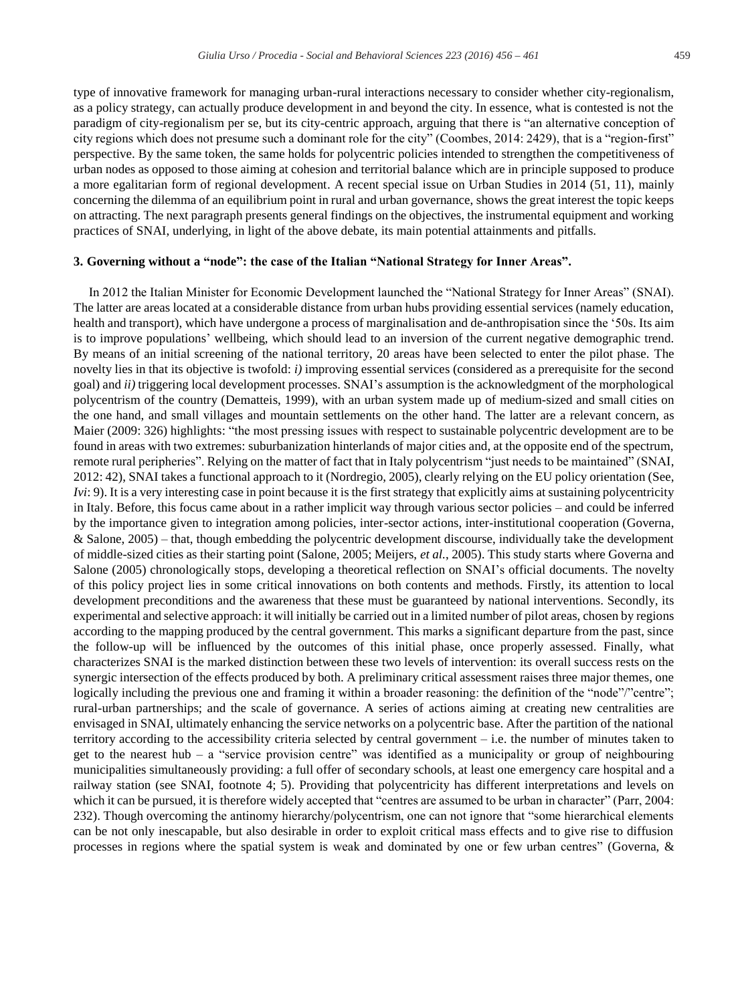type of innovative framework for managing urban-rural interactions necessary to consider whether city-regionalism, as a policy strategy, can actually produce development in and beyond the city. In essence, what is contested is not the paradigm of city-regionalism per se, but its city-centric approach, arguing that there is "an alternative conception of city regions which does not presume such a dominant role for the city" (Coombes, 2014: 2429), that is a "region-first" perspective. By the same token, the same holds for polycentric policies intended to strengthen the competitiveness of urban nodes as opposed to those aiming at cohesion and territorial balance which are in principle supposed to produce a more egalitarian form of regional development. A recent special issue on Urban Studies in 2014 (51, 11), mainly concerning the dilemma of an equilibrium point in rural and urban governance, shows the great interest the topic keeps on attracting. The next paragraph presents general findings on the objectives, the instrumental equipment and working practices of SNAI, underlying, in light of the above debate, its main potential attainments and pitfalls.

## **3. Governing without a "node": the case of the Italian "National Strategy for Inner Areas".**

In 2012 the Italian Minister for Economic Development launched the "National Strategy for Inner Areas" (SNAI). The latter are areas located at a considerable distance from urban hubs providing essential services (namely education, health and transport), which have undergone a process of marginalisation and de-anthropisation since the '50s. Its aim is to improve populations' wellbeing, which should lead to an inversion of the current negative demographic trend. By means of an initial screening of the national territory, 20 areas have been selected to enter the pilot phase. The novelty lies in that its objective is twofold: *i)* improving essential services (considered as a prerequisite for the second goal) and *ii)* triggering local development processes. SNAI's assumption is the acknowledgment of the morphological polycentrism of the country (Dematteis, 1999), with an urban system made up of medium-sized and small cities on the one hand, and small villages and mountain settlements on the other hand. The latter are a relevant concern, as Maier (2009: 326) highlights: "the most pressing issues with respect to sustainable polycentric development are to be found in areas with two extremes: suburbanization hinterlands of major cities and, at the opposite end of the spectrum, remote rural peripheries". Relying on the matter of fact that in Italy polycentrism "just needs to be maintained" (SNAI, 2012: 42), SNAI takes a functional approach to it (Nordregio, 2005), clearly relying on the EU policy orientation (See, *Ivi*: 9). It is a very interesting case in point because it is the first strategy that explicitly aims at sustaining polycentricity in Italy. Before, this focus came about in a rather implicit way through various sector policies – and could be inferred by the importance given to integration among policies, inter-sector actions, inter-institutional cooperation (Governa, & Salone, 2005) – that, though embedding the polycentric development discourse, individually take the development of middle-sized cities as their starting point (Salone, 2005; Meijers, *et al.*, 2005). This study starts where Governa and Salone (2005) chronologically stops, developing a theoretical reflection on SNAI's official documents. The novelty of this policy project lies in some critical innovations on both contents and methods. Firstly, its attention to local development preconditions and the awareness that these must be guaranteed by national interventions. Secondly, its experimental and selective approach: it will initially be carried out in a limited number of pilot areas, chosen by regions according to the mapping produced by the central government. This marks a significant departure from the past, since the follow-up will be influenced by the outcomes of this initial phase, once properly assessed. Finally, what characterizes SNAI is the marked distinction between these two levels of intervention: its overall success rests on the synergic intersection of the effects produced by both. A preliminary critical assessment raises three major themes, one logically including the previous one and framing it within a broader reasoning: the definition of the "node"/"centre"; rural-urban partnerships; and the scale of governance. A series of actions aiming at creating new centralities are envisaged in SNAI, ultimately enhancing the service networks on a polycentric base. After the partition of the national territory according to the accessibility criteria selected by central government – i.e. the number of minutes taken to get to the nearest hub – a "service provision centre" was identified as a municipality or group of neighbouring municipalities simultaneously providing: a full offer of secondary schools, at least one emergency care hospital and a railway station (see SNAI, footnote 4; 5). Providing that polycentricity has different interpretations and levels on which it can be pursued, it is therefore widely accepted that "centres are assumed to be urban in character" (Parr, 2004: 232). Though overcoming the antinomy hierarchy/polycentrism, one can not ignore that "some hierarchical elements can be not only inescapable, but also desirable in order to exploit critical mass effects and to give rise to diffusion processes in regions where the spatial system is weak and dominated by one or few urban centres" (Governa, &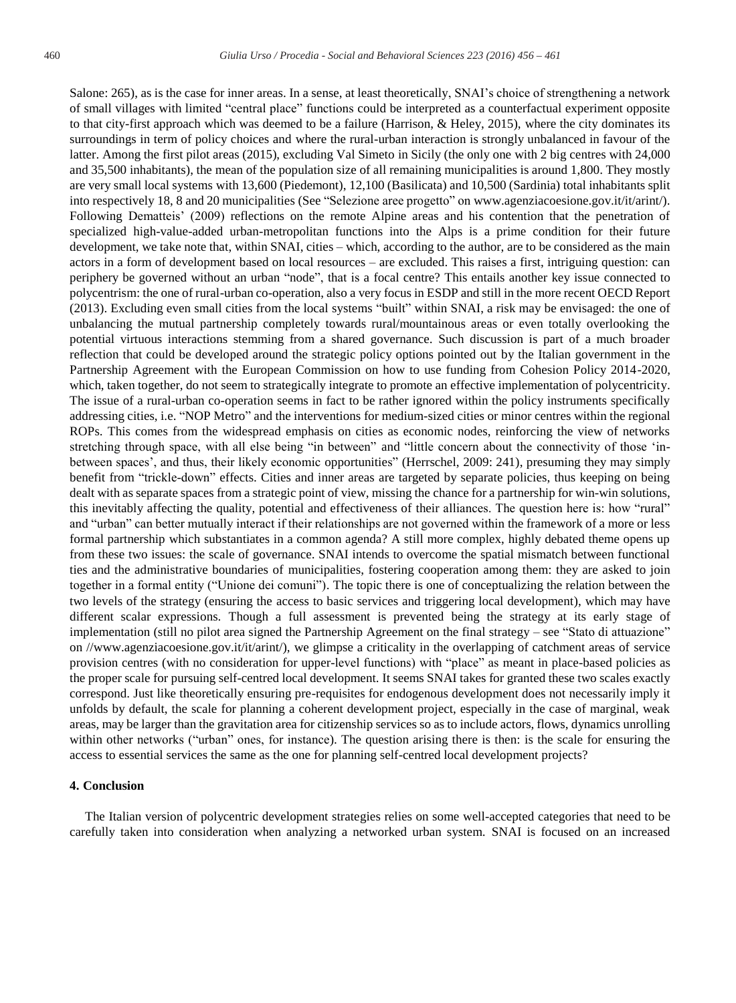Salone: 265), as is the case for inner areas. In a sense, at least theoretically, SNAI's choice of strengthening a network of small villages with limited "central place" functions could be interpreted as a counterfactual experiment opposite to that city-first approach which was deemed to be a failure (Harrison, & Heley, 2015), where the city dominates its surroundings in term of policy choices and where the rural-urban interaction is strongly unbalanced in favour of the latter. Among the first pilot areas (2015), excluding Val Simeto in Sicily (the only one with 2 big centres with 24,000 and 35,500 inhabitants), the mean of the population size of all remaining municipalities is around 1,800. They mostly are very small local systems with 13,600 (Piedemont), 12,100 (Basilicata) and 10,500 (Sardinia) total inhabitants split into respectively 18, 8 and 20 municipalities (See "Selezione aree progetto" on www.agenziacoesione.gov.it/it/arint/). Following Dematteis' (2009) reflections on the remote Alpine areas and his contention that the penetration of specialized high-value-added urban-metropolitan functions into the Alps is a prime condition for their future development, we take note that, within SNAI, cities – which, according to the author, are to be considered as the main actors in a form of development based on local resources – are excluded. This raises a first, intriguing question: can periphery be governed without an urban "node", that is a focal centre? This entails another key issue connected to polycentrism: the one of rural-urban co-operation, also a very focus in ESDP and still in the more recent OECD Report (2013). Excluding even small cities from the local systems "built" within SNAI, a risk may be envisaged: the one of unbalancing the mutual partnership completely towards rural/mountainous areas or even totally overlooking the potential virtuous interactions stemming from a shared governance. Such discussion is part of a much broader reflection that could be developed around the strategic policy options pointed out by the Italian government in the Partnership Agreement with the European Commission on how to use funding from Cohesion Policy 2014-2020, which, taken together, do not seem to strategically integrate to promote an effective implementation of polycentricity. The issue of a rural-urban co-operation seems in fact to be rather ignored within the policy instruments specifically addressing cities, i.e. "NOP Metro" and the interventions for medium-sized cities or minor centres within the regional ROPs. This comes from the widespread emphasis on cities as economic nodes, reinforcing the view of networks stretching through space, with all else being "in between" and "little concern about the connectivity of those 'inbetween spaces', and thus, their likely economic opportunities" (Herrschel, 2009: 241), presuming they may simply benefit from "trickle-down" effects. Cities and inner areas are targeted by separate policies, thus keeping on being dealt with as separate spaces from a strategic point of view, missing the chance for a partnership for win-win solutions, this inevitably affecting the quality, potential and effectiveness of their alliances. The question here is: how "rural" and "urban" can better mutually interact if their relationships are not governed within the framework of a more or less formal partnership which substantiates in a common agenda? A still more complex, highly debated theme opens up from these two issues: the scale of governance. SNAI intends to overcome the spatial mismatch between functional ties and the administrative boundaries of municipalities, fostering cooperation among them: they are asked to join together in a formal entity ("Unione dei comuni"). The topic there is one of conceptualizing the relation between the two levels of the strategy (ensuring the access to basic services and triggering local development), which may have different scalar expressions. Though a full assessment is prevented being the strategy at its early stage of implementation (still no pilot area signed the Partnership Agreement on the final strategy – see "Stato di attuazione" on //www.agenziacoesione.gov.it/it/arint/), we glimpse a criticality in the overlapping of catchment areas of service provision centres (with no consideration for upper-level functions) with "place" as meant in place-based policies as the proper scale for pursuing self-centred local development. It seems SNAI takes for granted these two scales exactly correspond. Just like theoretically ensuring pre-requisites for endogenous development does not necessarily imply it unfolds by default, the scale for planning a coherent development project, especially in the case of marginal, weak areas, may be larger than the gravitation area for citizenship services so as to include actors, flows, dynamics unrolling within other networks ("urban" ones, for instance). The question arising there is then: is the scale for ensuring the access to essential services the same as the one for planning self-centred local development projects?

#### **4. Conclusion**

The Italian version of polycentric development strategies relies on some well-accepted categories that need to be carefully taken into consideration when analyzing a networked urban system. SNAI is focused on an increased